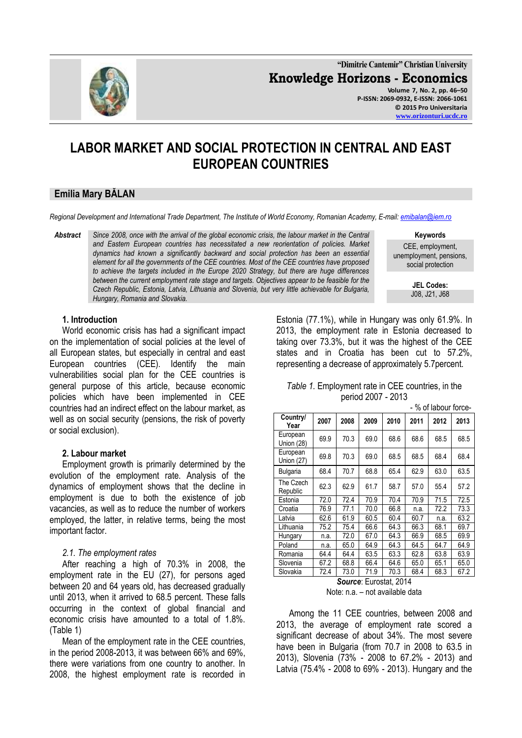

**"Dimitrie Cantemir" Christian University Knowledge Horizons - Economics Volume 7, No. 2, pp. 46–50 P-ISSN: 2069-0932, E-ISSN: 2066-1061 © 2015 Pro Universitaria**

# **LABOR MARKET AND SOCIAL PROTECTION IN CENTRAL AND EAST EUROPEAN COUNTRIES**

## **Emilia Mary BĂLAN**

*Regional Development and International Trade Department, The Institute of World Economy, Romanian Academy, E-mail[: emibalan@iem.ro](../../../../../Users/Utilizator/Downloads/emibalan@iem.ro)*

*Abstract Since 2008, once with the arrival of the global economic crisis, the labour market in the Central and Eastern European countries has necessitated a new reorientation of policies. Market dynamics had known a significantly backward and social protection has been an essential element for all the governments of the CEE countries. Most of the CEE countries have proposed to achieve the targets included in the Europe 2020 Strategy, but there are huge differences between the current employment rate stage and targets. Objectives appear to be feasible for the Czech Republic, Estonia, Latvia, Lithuania and Slovenia, but very little achievable for Bulgaria, Hungary, Romania and Slovakia.*

**Keywords**

CEE, employment, unemployment, pensions, social protection

> **JEL Codes:** J08, J21, J68

#### **1. Introduction**

World economic crisis has had a significant impact on the implementation of social policies at the level of all European states, but especially in central and east European countries (CEE). Identify the main vulnerabilities social plan for the CEE countries is general purpose of this article, because economic policies which have been implemented in CEE countries had an indirect effect on the labour market, as well as on social security (pensions, the risk of poverty or social exclusion).

#### **2. Labour market**

Employment growth is primarily determined by the evolution of the employment rate. Analysis of the dynamics of employment shows that the decline in employment is due to both the existence of job vacancies, as well as to reduce the number of workers employed, the latter, in relative terms, being the most important factor.

#### *2.1. The employment rates*

After reaching a high of 70.3% in 2008, the employment rate in the EU (27), for persons aged between 20 and 64 years old, has decreased gradually until 2013, when it arrived to 68.5 percent. These falls occurring in the context of global financial and economic crisis have amounted to a total of 1.8%. (Table 1)

Mean of the employment rate in the CEE countries, in the period 2008-2013, it was between 66% and 69%, there were variations from one country to another. In 2008, the highest employment rate is recorded in Estonia (77.1%), while in Hungary was only 61.9%. In 2013, the employment rate in Estonia decreased to taking over 73.3%, but it was the highest of the CEE states and in Croatia has been cut to 57.2%, representing a decrease of approximately 5.7percent.

| Table 1. Employment rate in CEE countries, in the |  |
|---------------------------------------------------|--|
| period 2007 - 2013                                |  |

|                        | - % of labour force- |      |      |      |      |      |      |  |
|------------------------|----------------------|------|------|------|------|------|------|--|
| Country/<br>Year       | 2007                 | 2008 | 2009 | 2010 | 2011 | 2012 | 2013 |  |
| European<br>Union (28) | 69.9                 | 70.3 | 69.0 | 68.6 | 68.6 | 68.5 | 68.5 |  |
| European<br>Union (27) | 69.8                 | 70.3 | 69.0 | 68.5 | 68.5 | 68.4 | 68.4 |  |
| Bulgaria               | 68.4                 | 70.7 | 68.8 | 65.4 | 62.9 | 63.0 | 63.5 |  |
| The Czech<br>Republic  | 62.3                 | 62.9 | 61.7 | 58.7 | 57.0 | 55.4 | 57.2 |  |
| Estonia                | 72.0                 | 72.4 | 70.9 | 70.4 | 70.9 | 71.5 | 72.5 |  |
| Croatia                | 76.9                 | 77.1 | 70.0 | 66.8 | n.a. | 72.2 | 73.3 |  |
| Latvia                 | 62.6                 | 61.9 | 60.5 | 60.4 | 60.7 | n.a. | 63.2 |  |
| Lithuania              | 75.2                 | 75.4 | 66.6 | 64.3 | 66.3 | 68.1 | 69.7 |  |
| Hungary                | n.a.                 | 72.0 | 67.0 | 64.3 | 66.9 | 68.5 | 69.9 |  |
| Poland                 | n.a.                 | 65.0 | 64.9 | 64.3 | 64.5 | 64.7 | 64.9 |  |
| Romania                | 64.4                 | 64.4 | 63.5 | 63.3 | 62.8 | 63.8 | 63.9 |  |
| Slovenia               | 67.2                 | 68.8 | 66.4 | 64.6 | 65.0 | 65.1 | 65.0 |  |
| Slovakia               | 72.4                 | 73.0 | 71.9 | 70.3 | 68.4 | 68.3 | 67.2 |  |

*Source*: Eurostat, 2014 Note: n.a. – not available data

Among the 11 CEE countries, between 2008 and 2013, the average of employment rate scored a significant decrease of about 34%. The most severe have been in Bulgaria (from 70.7 in 2008 to 63.5 in 2013), Slovenia (73% - 2008 to 67.2% - 2013) and Latvia (75.4% - 2008 to 69% - 2013). Hungary and the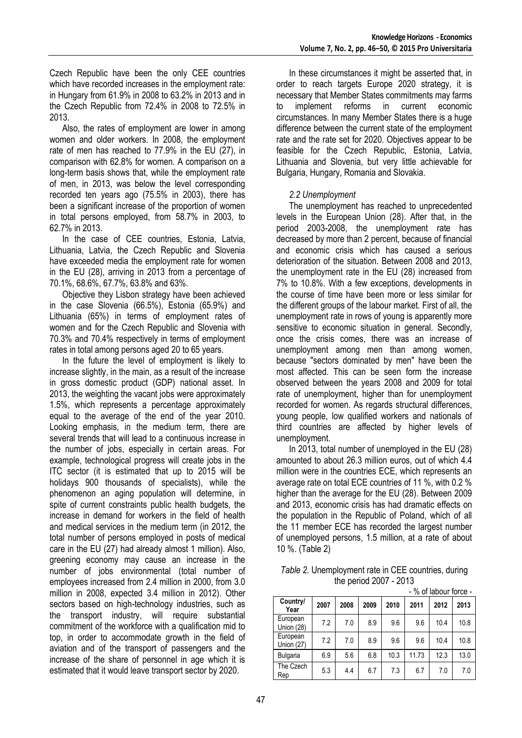Czech Republic have been the only CEE countries which have recorded increases in the employment rate: in Hungary from 61.9% in 2008 to 63.2% in 2013 and in the Czech Republic from 72.4% in 2008 to 72.5% in 2013.

Also, the rates of employment are lower in among women and older workers. In 2008, the employment rate of men has reached to 77.9% in the EU (27), in comparison with 62.8% for women. A comparison on a long-term basis shows that, while the employment rate of men, in 2013, was below the level corresponding recorded ten years ago (75.5% in 2003), there has been a significant increase of the proportion of women in total persons employed, from 58.7% in 2003, to 62.7% in 2013.

In the case of CEE countries, Estonia, Latvia, Lithuania, Latvia, the Czech Republic and Slovenia have exceeded media the employment rate for women in the EU (28), arriving in 2013 from a percentage of 70.1%, 68.6%, 67.7%, 63.8% and 63%.

Objective they Lisbon strategy have been achieved in the case Slovenia (66.5%), Estonia (65.9%) and Lithuania (65%) in terms of employment rates of women and for the Czech Republic and Slovenia with 70.3% and 70.4% respectively in terms of employment rates in total among persons aged 20 to 65 years.

In the future the level of employment is likely to increase slightly, in the main, as a result of the increase in gross domestic product (GDP) national asset. In 2013, the weighting the vacant jobs were approximately 1.5%, which represents a percentage approximately equal to the average of the end of the year 2010. Looking emphasis, in the medium term, there are several trends that will lead to a continuous increase in the number of jobs, especially in certain areas. For example, technological progress will create jobs in the ITC sector (it is estimated that up to 2015 will be holidays 900 thousands of specialists), while the phenomenon an aging population will determine, in spite of current constraints public health budgets, the increase in demand for workers in the field of health and medical services in the medium term (in 2012, the total number of persons employed in posts of medical care in the EU (27) had already almost 1 million). Also, greening economy may cause an increase in the number of jobs environmental (total number of employees increased from 2.4 million in 2000, from 3.0 million in 2008, expected 3.4 million in 2012). Other sectors based on high-technology industries, such as the transport industry, will require substantial commitment of the workforce with a qualification mid to top, in order to accommodate growth in the field of aviation and of the transport of passengers and the increase of the share of personnel in age which it is estimated that it would leave transport sector by 2020.

In these circumstances it might be asserted that, in order to reach targets Europe 2020 strategy, it is necessary that Member States commitments may farms to implement reforms in current economic circumstances. In many Member States there is a huge difference between the current state of the employment rate and the rate set for 2020. Objectives appear to be feasible for the Czech Republic, Estonia, Latvia, Lithuania and Slovenia, but very little achievable for Bulgaria, Hungary, Romania and Slovakia.

## *2.2 Unemployment*

The unemployment has reached to unprecedented levels in the European Union (28). After that, in the period 2003-2008, the unemployment rate has decreased by more than 2 percent, because of financial and economic crisis which has caused a serious deterioration of the situation. Between 2008 and 2013, the unemployment rate in the EU (28) increased from 7% to 10.8%. With a few exceptions, developments in the course of time have been more or less similar for the different groups of the labour market. First of all, the unemployment rate in rows of young is apparently more sensitive to economic situation in general. Secondly, once the crisis comes, there was an increase of unemployment among men than among women, because "sectors dominated by men" have been the most affected. This can be seen form the increase observed between the years 2008 and 2009 for total rate of unemployment, higher than for unemployment recorded for women. As regards structural differences, young people, low qualified workers and nationals of third countries are affected by higher levels of unemployment.

In 2013, total number of unemployed in the EU (28) amounted to about 26.3 million euros, out of which 4.4 million were in the countries ECE, which represents an average rate on total ECE countries of 11 %, with 0.2 % higher than the average for the EU (28). Between 2009 and 2013, economic crisis has had dramatic effects on the population in the Republic of Poland, which of all the 11 member ECE has recorded the largest number of unemployed persons, 1.5 million, at a rate of about 10 %. (Table 2)

*Table 2.* Unemployment rate in CEE countries, during the period 2007 - 2013 - % of labour force -

|                               |      |      |      |      |       | $100 - 190 - 191 - 190$ |      |
|-------------------------------|------|------|------|------|-------|-------------------------|------|
| Country/<br>Year              | 2007 | 2008 | 2009 | 2010 | 2011  | 2012                    | 2013 |
| European<br>Union (28)        | 7.2  | 7.0  | 8.9  | 9.6  | 9.6   | 10.4                    | 10.8 |
| European<br><b>Union (27)</b> | 7.2  | 7.0  | 8.9  | 9.6  | 9.6   | 10.4                    | 10.8 |
| Bulgaria                      | 6.9  | 5.6  | 6.8  | 10.3 | 11.73 | 12.3                    | 13.0 |
| The Czech<br>Rep              | 5.3  | 4.4  | 6.7  | 7.3  | 6.7   | 7.0                     | 7.0  |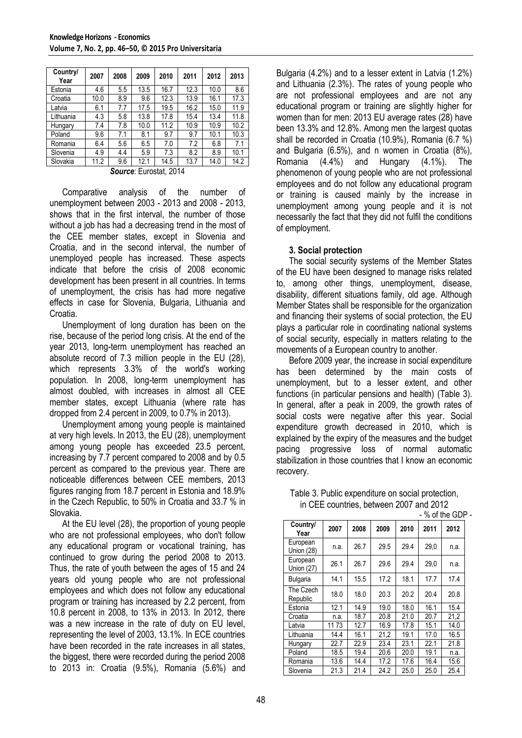| Country/<br>Year | 2007 | 2008 | 2009 | 2010 | 2011 | 2012 | 2013 |
|------------------|------|------|------|------|------|------|------|
| Estonia          | 4.6  | 5.5  | 13.5 | 16.7 | 12.3 | 10.0 | 8.6  |
| Croatia          | 10.0 | 8.9  | 9.6  | 12.3 | 13.9 | 16.1 | 17.3 |
| Latvia           | 6.1  | 7.7  | 17.5 | 19.5 | 16.2 | 15.0 | 11.9 |
| Lithuania        | 4.3  | 5.8  | 13.8 | 17.8 | 15.4 | 13.4 | 11.8 |
| Hungary          | 7.4  | 7.8  | 10.0 | 11.2 | 10.9 | 10.9 | 10.2 |
| Poland           | 9.6  | 7.1  | 8.1  | 9.7  | 9.7  | 10.1 | 10.3 |
| Romania          | 6.4  | 5.6  | 6.5  | 7.0  | 7.2  | 6.8  | 7.1  |
| Slovenia         | 4.9  | 4.4  | 5.9  | 7.3  | 8.2  | 8.9  | 10.1 |
| Slovakia         | 11.2 | 9.6  | 12.1 | 14.5 | 13.7 | 14.0 | 14.2 |

*Source*: Eurostat, 2014

Comparative analysis of the number of unemployment between 2003 - 2013 and 2008 - 2013, shows that in the first interval, the number of those without a job has had a decreasing trend in the most of the CEE member states, except in Slovenia and Croatia, and in the second interval, the number of unemployed people has increased. These aspects indicate that before the crisis of 2008 economic development has been present in all countries. In terms of unemployment, the crisis has had more negative effects in case for Slovenia, Bulgaria, Lithuania and Croatia.

Unemployment of long duration has been on the rise, because of the period long crisis. At the end of the year 2013, long-term unemployment has reached an absolute record of 7.3 million people in the EU (28), which represents 3.3% of the world's working population. In 2008, long-term unemployment has almost doubled, with increases in almost all CEE member states, except Lithuania (where rate has dropped from 2.4 percent in 2009, to 0.7% in 2013).

Unemployment among young people is maintained at very high levels. In 2013, the EU (28), unemployment among young people has exceeded 23.5 percent, increasing by 7.7 percent compared to 2008 and by 0.5 percent as compared to the previous year. There are noticeable differences between CEE members, 2013 figures ranging from 18.7 percent in Estonia and 18.9% in the Czech Republic, to 50% in Croatia and 33.7 % in Slovakia.

At the EU level (28), the proportion of young people who are not professional employees, who don't follow any educational program or vocational training, has continued to grow during the period 2008 to 2013. Thus, the rate of youth between the ages of 15 and 24 years old young people who are not professional employees and which does not follow any educational program or training has increased by 2.2 percent, from 10.8 percent in 2008, to 13% in 2013. In 2012, there was a new increase in the rate of duty on EU level, representing the level of 2003, 13.1%. In ECE countries have been recorded in the rate increases in all states, the biggest, there were recorded during the period 2008 to 2013 in: Croatia (9.5%), Romania (5.6%) and Bulgaria (4.2%) and to a lesser extent in Latvia (1.2%) and Lithuania (2.3%). The rates of young people who are not professional employees and are not any educational program or training are slightly higher for women than for men: 2013 EU average rates (28) have been 13.3% and 12.8%. Among men the largest quotas shall be recorded in Croatia (10.9%), Romania (6.7 %) and Bulgaria (6.5%), and n women in Croatia (8%), Romania (4.4%) and Hungary (4.1%). The phenomenon of young people who are not professional employees and do not follow any educational program or training is caused mainly by the increase in unemployment among young people and it is not necessarily the fact that they did not fulfil the conditions of employment.

#### **3. Social protection**

The social security systems of the Member States of the EU have been designed to manage risks related to, among other things, unemployment, disease, disability, different situations family, old age. Although Member States shall be responsible for the organization and financing their systems of social protection, the EU plays a particular role in coordinating national systems of social security, especially in matters relating to the movements of a European country to another.

Before 2009 year, the increase in social expenditure has been determined by the main costs of unemployment, but to a lesser extent, and other functions (in particular pensions and health) (Table 3). In general, after a peak in 2009, the growth rates of social costs were negative after this year. Social expenditure growth decreased in 2010, which is explained by the expiry of the measures and the budget pacing progressive loss of normal automatic stabilization in those countries that I know an economic recovery.

| Table 3. Public expenditure on social protection, |
|---------------------------------------------------|
| in CEE countries, between 2007 and 2012           |
| $-$ % of the GDP -                                |

| ושט טוויט ש            |       |      |      |      |      |      |  |  |  |
|------------------------|-------|------|------|------|------|------|--|--|--|
| Country/<br>Year       | 2007  | 2008 | 2009 | 2010 | 2011 | 2012 |  |  |  |
| European<br>Union (28) | n.a.  | 26.7 | 29.5 | 29.4 | 29,0 | n.a. |  |  |  |
| European<br>Union (27) | 26.1  | 26.7 | 29.6 | 29.4 | 29,0 | n.a. |  |  |  |
| Bulgaria               | 14.1  | 15.5 | 17.2 | 18.1 | 17.7 | 17.4 |  |  |  |
| The Czech<br>Republic  | 18.0  | 18.0 | 20.3 | 20.2 | 20.4 | 20.8 |  |  |  |
| Estonia                | 12.1  | 14.9 | 19.0 | 18.0 | 16.1 | 15.4 |  |  |  |
| Croatia                | n.a.  | 18.7 | 20.8 | 21.0 | 20.7 | 21,2 |  |  |  |
| Latvia                 | 11 73 | 12.7 | 16.9 | 17.8 | 15.1 | 14.0 |  |  |  |
| Lithuania              | 14.4  | 16.1 | 21,2 | 19.1 | 17.0 | 16.5 |  |  |  |
| Hungary                | 22.7  | 22.9 | 23.4 | 23.1 | 22.1 | 21.8 |  |  |  |
| Poland                 | 18.5  | 19.4 | 20.6 | 20.0 | 19.1 | n.a. |  |  |  |
| Romania                | 13.6  | 14.4 | 17.2 | 17.6 | 16.4 | 15.6 |  |  |  |
| Slovenia               | 21.3  | 21.4 | 24.2 | 25.0 | 25.0 | 25.4 |  |  |  |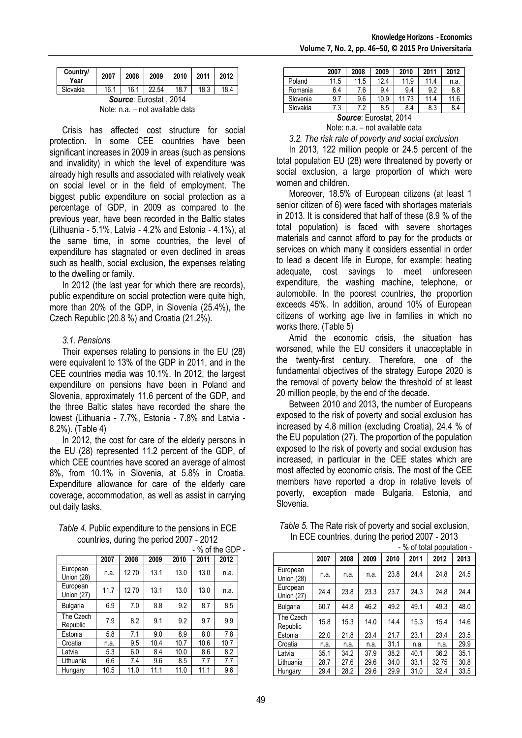| Country/<br>Year | 2007 | 2008 | 2009  | $\vert$ 2010 | $\vert$ 2011 | 2012 |
|------------------|------|------|-------|--------------|--------------|------|
| Slovakia         | 16.1 | 16.1 | 22.54 | 18.7         | 18.3         | 18.4 |
|                  |      |      |       | 0.011        |              |      |

*Source*: Eurostat , 2014 Note: n.a. – not available data

Crisis has affected cost structure for social protection. In some CEE countries have been significant increases in 2009 in areas (such as pensions and invalidity) in which the level of expenditure was already high results and associated with relatively weak on social level or in the field of employment. The biggest public expenditure on social protection as a percentage of GDP, in 2009 as compared to the previous year, have been recorded in the Baltic states (Lithuania - 5.1%, Latvia - 4.2% and Estonia - 4.1%), at the same time, in some countries, the level of expenditure has stagnated or even declined in areas such as health, social exclusion, the expenses relating to the dwelling or family.

In 2012 (the last year for which there are records), public expenditure on social protection were quite high, more than 20% of the GDP, in Slovenia (25.4%), the Czech Republic (20.8 %) and Croatia (21.2%).

### *3.1. Pensions*

Their expenses relating to pensions in the EU (28) were equivalent to 13% of the GDP in 2011, and in the CEE countries media was 10.1%. In 2012, the largest expenditure on pensions have been in Poland and Slovenia, approximately 11.6 percent of the GDP, and the three Baltic states have recorded the share the lowest (Lithuania - 7.7%, Estonia - 7.8% and Latvia - 8.2%). (Table 4)

In 2012, the cost for care of the elderly persons in the EU (28) represented 11.2 percent of the GDP, of which CEE countries have scored an average of almost 8%, from 10.1% in Slovenia, at 5.8% in Croatia. Expenditure allowance for care of the elderly care coverage, accommodation, as well as assist in carrying out daily tasks.

| Table 4. Public expenditure to the pensions in ECE |  |
|----------------------------------------------------|--|
| countries, during the period 2007 - 2012           |  |

|                        |      |      |      |      | - % of the GDP - |      |  |
|------------------------|------|------|------|------|------------------|------|--|
|                        | 2007 | 2008 | 2009 | 2010 | 2011             | 2012 |  |
| European<br>Union (28) | n.a. | 1270 | 13.1 | 13.0 | 13.0             | n.a. |  |
| European<br>Union (27) | 11.7 | 1270 | 13.1 | 13.0 | 13.0             | n.a. |  |
| Bulgaria               | 6.9  | 7.0  | 8.8  | 9.2  | 8.7              | 8.5  |  |
| The Czech<br>Republic  | 7.9  | 8.2  | 9.1  | 9.2  | 9.7              | 9.9  |  |
| Estonia                | 5.8  | 7.1  | 9.0  | 8.9  | 8.0              | 7.8  |  |
| Croatia                | n.a. | 9.5  | 10.4 | 10.7 | 10.6             | 10.7 |  |
| Latvia                 | 5.3  | 6.0  | 8.4  | 10.0 | 8.6              | 8.2  |  |
| Lithuania              | 6.6  | 7.4  | 9.6  | 8.5  | 7.7              | 7.7  |  |
| Hungary                | 10.5 | 11.0 | 11.1 | 11.0 | 11.1             | 9.6  |  |

|                                                    | 2007 | 2008 | 2009 | 2010 | 2011 | 2012 |  |  |  |  |  |
|----------------------------------------------------|------|------|------|------|------|------|--|--|--|--|--|
| Poland                                             | 11.5 | 11.5 | 12.4 | 11.9 | 11.4 | n.a. |  |  |  |  |  |
| Romania                                            | 6.4  | 7.6  | 9.4  | 9.4  | 9.2  | 8.8  |  |  |  |  |  |
| Slovenia                                           | 9.7  | 9.6  | 10.9 | 1173 | 11.4 | 11.6 |  |  |  |  |  |
| Slovakia<br>7.3<br>8.3<br>8.4<br>7.2<br>8.5<br>8.4 |      |      |      |      |      |      |  |  |  |  |  |
| Source: Eurostat. 2014                             |      |      |      |      |      |      |  |  |  |  |  |

Note: n.a. – not available data

*3.2. The risk rate of poverty and social exclusion*

In 2013, 122 million people or 24.5 percent of the total population EU (28) were threatened by poverty or social exclusion, a large proportion of which were women and children.

Moreover, 18.5% of European citizens (at least 1 senior citizen of 6) were faced with shortages materials in 2013. It is considered that half of these (8.9 % of the total population) is faced with severe shortages materials and cannot afford to pay for the products or services on which many it considers essential in order to lead a decent life in Europe, for example: heating adequate, cost savings to meet unforeseen expenditure, the washing machine, telephone, or automobile. In the poorest countries, the proportion exceeds 45%. In addition, around 10% of European citizens of working age live in families in which no works there. (Table 5)

Amid the economic crisis, the situation has worsened, while the EU considers it unacceptable in the twenty-first century. Therefore, one of the fundamental objectives of the strategy Europe 2020 is the removal of poverty below the threshold of at least 20 million people, by the end of the decade.

Between 2010 and 2013, the number of Europeans exposed to the risk of poverty and social exclusion has increased by 4.8 million (excluding Croatia), 24.4 % of the EU population (27). The proportion of the population exposed to the risk of poverty and social exclusion has increased, in particular in the CEE states which are most affected by economic crisis. The most of the CEE members have reported a drop in relative levels of poverty, exception made Bulgaria, Estonia, and Slovenia.

|                        |      |      |      |      |      | - % of total population - |      |
|------------------------|------|------|------|------|------|---------------------------|------|
|                        | 2007 | 2008 | 2009 | 2010 | 2011 | 2012                      | 2013 |
| European<br>Union (28) | n.a. | n.a. | n.a. | 23.8 | 24.4 | 24.8                      | 24.5 |
| European<br>Union (27) | 24.4 | 23.8 | 23.3 | 23.7 | 24.3 | 24.8                      | 24.4 |
| Bulgaria               | 60.7 | 44.8 | 46.2 | 49.2 | 49.1 | 49.3                      | 48.0 |
| The Czech<br>Republic  | 15.8 | 15.3 | 14.0 | 14.4 | 15.3 | 15.4                      | 14.6 |
| Estonia                | 22.0 | 21.8 | 23.4 | 21.7 | 23.1 | 23.4                      | 23.5 |
| Croatia                | n.a. | n.a. | n.a. | 31.1 | n.a. | n.a.                      | 29.9 |
| Latvia                 | 35.1 | 34.2 | 37.9 | 38.2 | 40.1 | 36.2                      | 35.1 |
| Lithuania              | 28.7 | 27.6 | 29.6 | 34.0 | 33.1 | 3275                      | 30.8 |
| Hungary                | 29.4 | 28.2 | 29.6 | 29.9 | 31.0 | 32.4                      | 33.5 |

*Table 5.* The Rate risk of poverty and social exclusion, In ECE countries, during the period 2007 - 2013